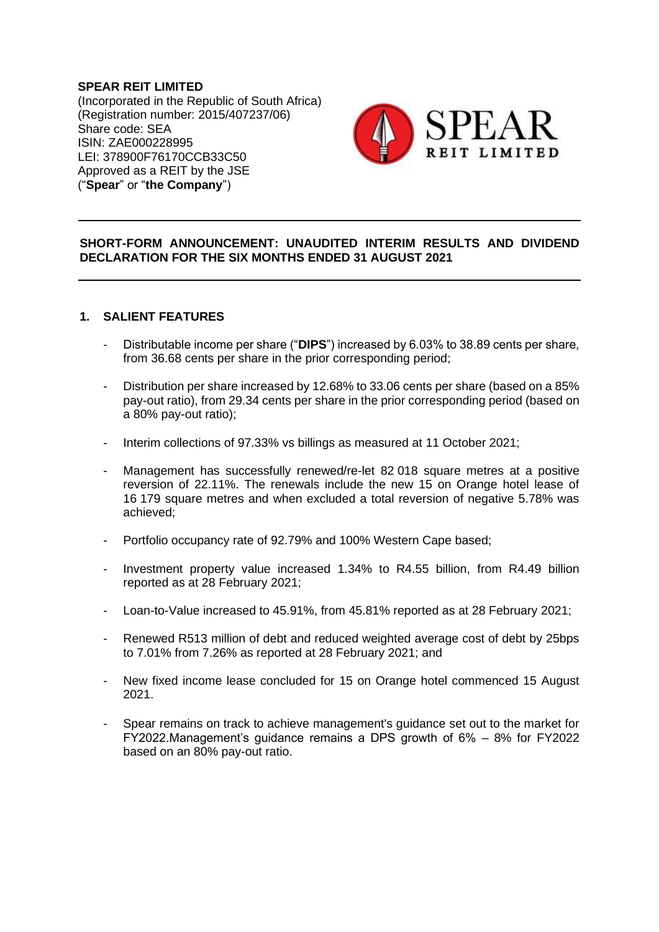**SPEAR REIT LIMITED** (Incorporated in the Republic of South Africa) (Registration number: 2015/407237/06) Share code: SEA ISIN: ZAE000228995 LEI: 378900F76170CCB33C50 Approved as a REIT by the JSE ("**Spear**" or "**the Company**")



## **SHORT-FORM ANNOUNCEMENT: UNAUDITED INTERIM RESULTS AND DIVIDEND DECLARATION FOR THE SIX MONTHS ENDED 31 AUGUST 2021**

### **1. SALIENT FEATURES**

- Distributable income per share ("**DIPS**") increased by 6.03% to 38.89 cents per share, from 36.68 cents per share in the prior corresponding period;
- Distribution per share increased by 12.68% to 33.06 cents per share (based on a 85% pay-out ratio), from 29.34 cents per share in the prior corresponding period (based on a 80% pay-out ratio);
- Interim collections of 97.33% vs billings as measured at 11 October 2021;
- Management has successfully renewed/re-let 82 018 square metres at a positive reversion of 22.11%. The renewals include the new 15 on Orange hotel lease of 16 179 square metres and when excluded a total reversion of negative 5.78% was achieved;
- Portfolio occupancy rate of 92.79% and 100% Western Cape based;
- Investment property value increased 1.34% to R4.55 billion, from R4.49 billion reported as at 28 February 2021;
- Loan-to-Value increased to 45.91%, from 45.81% reported as at 28 February 2021;
- Renewed R513 million of debt and reduced weighted average cost of debt by 25bps to 7.01% from 7.26% as reported at 28 February 2021; and
- New fixed income lease concluded for 15 on Orange hotel commenced 15 August 2021.
- Spear remains on track to achieve management's guidance set out to the market for FY2022.Management's guidance remains a DPS growth of 6% – 8% for FY2022 based on an 80% pay-out ratio.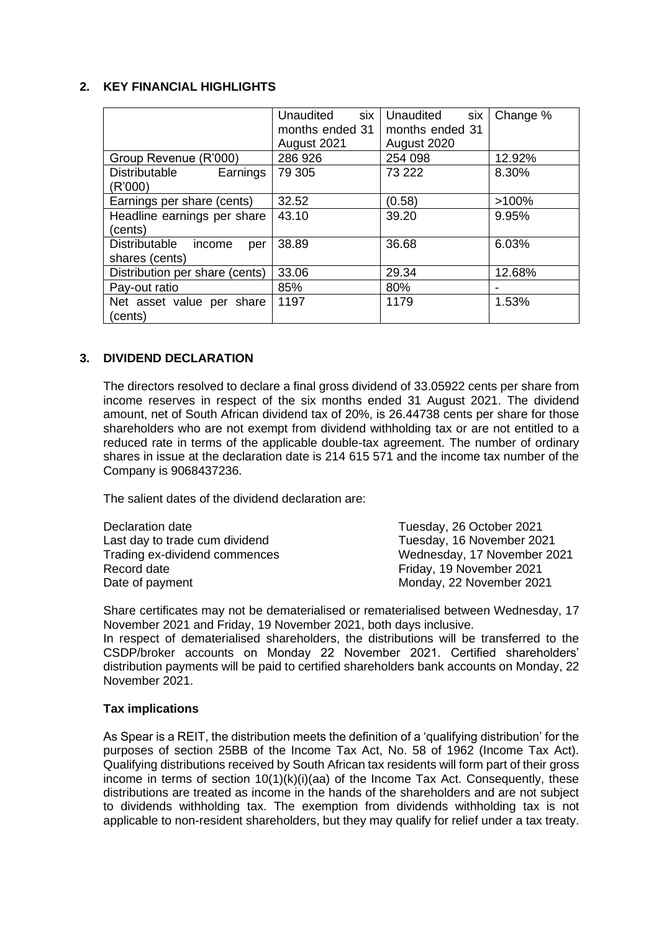### **2. KEY FINANCIAL HIGHLIGHTS**

|                                       | six<br>Unaudited | <b>Unaudited</b><br>six | Change % |
|---------------------------------------|------------------|-------------------------|----------|
|                                       | months ended 31  | months ended 31         |          |
|                                       | August 2021      | August 2020             |          |
| Group Revenue (R'000)                 | 286 926          | 254 098                 | 12.92%   |
| Earnings<br>Distributable             | 79 305           | 73 222                  | 8.30%    |
| (R'000)                               |                  |                         |          |
| Earnings per share (cents)            | 32.52            | (0.58)                  | >100%    |
| Headline earnings per share           | 43.10            | 39.20                   | 9.95%    |
| (cents)                               |                  |                         |          |
| <b>Distributable</b><br>income<br>per | 38.89            | 36.68                   | 6.03%    |
| shares (cents)                        |                  |                         |          |
| Distribution per share (cents)        | 33.06            | 29.34                   | 12.68%   |
| Pay-out ratio                         | 85%              | 80%                     |          |
| Net asset value per share             | 1197             | 1179                    | 1.53%    |
| (cents)                               |                  |                         |          |

### **3. DIVIDEND DECLARATION**

The directors resolved to declare a final gross dividend of 33.05922 cents per share from income reserves in respect of the six months ended 31 August 2021. The dividend amount, net of South African dividend tax of 20%, is 26.44738 cents per share for those shareholders who are not exempt from dividend withholding tax or are not entitled to a reduced rate in terms of the applicable double-tax agreement. The number of ordinary shares in issue at the declaration date is 214 615 571 and the income tax number of the Company is 9068437236.

The salient dates of the dividend declaration are:

| Declaration date               | Tuesday, 26 October 2021    |
|--------------------------------|-----------------------------|
| Last day to trade cum dividend | Tuesday, 16 November 2021   |
| Trading ex-dividend commences  | Wednesday, 17 November 2021 |
| Record date                    | Friday, 19 November 2021    |
| Date of payment                | Monday, 22 November 2021    |

Share certificates may not be dematerialised or rematerialised between Wednesday, 17 November 2021 and Friday, 19 November 2021, both days inclusive.

In respect of dematerialised shareholders, the distributions will be transferred to the CSDP/broker accounts on Monday 22 November 2021. Certified shareholders' distribution payments will be paid to certified shareholders bank accounts on Monday, 22 November 2021.

### **Tax implications**

As Spear is a REIT, the distribution meets the definition of a 'qualifying distribution' for the purposes of section 25BB of the Income Tax Act, No. 58 of 1962 (Income Tax Act). Qualifying distributions received by South African tax residents will form part of their gross income in terms of section  $10(1)(k)(i)(aa)$  of the Income Tax Act. Consequently, these distributions are treated as income in the hands of the shareholders and are not subject to dividends withholding tax. The exemption from dividends withholding tax is not applicable to non-resident shareholders, but they may qualify for relief under a tax treaty.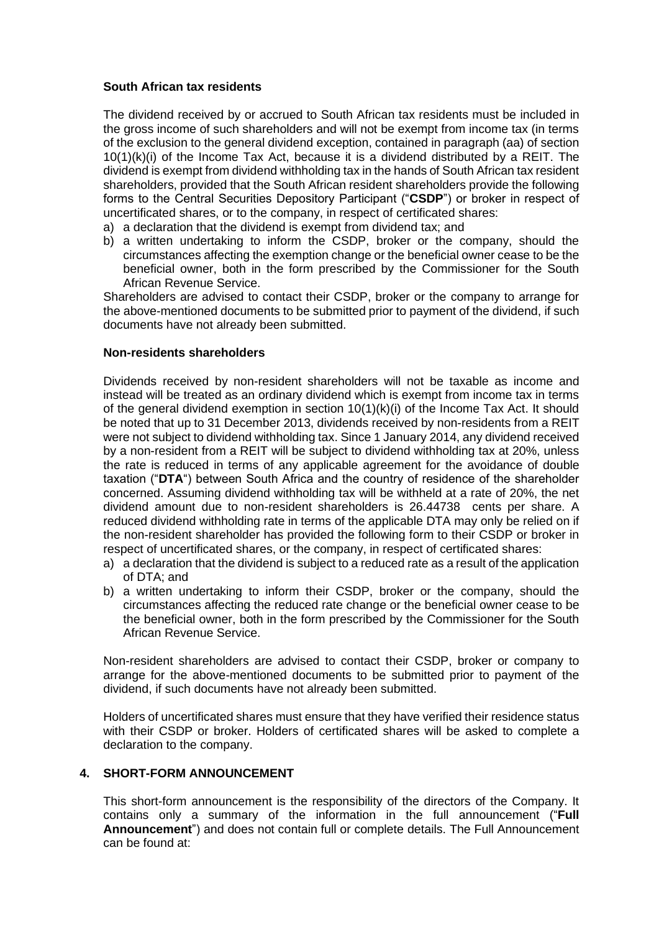#### **South African tax residents**

The dividend received by or accrued to South African tax residents must be included in the gross income of such shareholders and will not be exempt from income tax (in terms of the exclusion to the general dividend exception, contained in paragraph (aa) of section 10(1)(k)(i) of the Income Tax Act, because it is a dividend distributed by a REIT. The dividend is exempt from dividend withholding tax in the hands of South African tax resident shareholders, provided that the South African resident shareholders provide the following forms to the Central Securities Depository Participant ("**CSDP**") or broker in respect of uncertificated shares, or to the company, in respect of certificated shares:

- a) a declaration that the dividend is exempt from dividend tax; and
- b) a written undertaking to inform the CSDP, broker or the company, should the circumstances affecting the exemption change or the beneficial owner cease to be the beneficial owner, both in the form prescribed by the Commissioner for the South African Revenue Service.

Shareholders are advised to contact their CSDP, broker or the company to arrange for the above-mentioned documents to be submitted prior to payment of the dividend, if such documents have not already been submitted.

#### **Non-residents shareholders**

Dividends received by non-resident shareholders will not be taxable as income and instead will be treated as an ordinary dividend which is exempt from income tax in terms of the general dividend exemption in section 10(1)(k)(i) of the Income Tax Act. It should be noted that up to 31 December 2013, dividends received by non-residents from a REIT were not subject to dividend withholding tax. Since 1 January 2014, any dividend received by a non-resident from a REIT will be subject to dividend withholding tax at 20%, unless the rate is reduced in terms of any applicable agreement for the avoidance of double taxation ("**DTA**") between South Africa and the country of residence of the shareholder concerned. Assuming dividend withholding tax will be withheld at a rate of 20%, the net dividend amount due to non-resident shareholders is 26.44738 cents per share. A reduced dividend withholding rate in terms of the applicable DTA may only be relied on if the non-resident shareholder has provided the following form to their CSDP or broker in respect of uncertificated shares, or the company, in respect of certificated shares:

- a) a declaration that the dividend is subject to a reduced rate as a result of the application of DTA; and
- b) a written undertaking to inform their CSDP, broker or the company, should the circumstances affecting the reduced rate change or the beneficial owner cease to be the beneficial owner, both in the form prescribed by the Commissioner for the South African Revenue Service.

Non-resident shareholders are advised to contact their CSDP, broker or company to arrange for the above-mentioned documents to be submitted prior to payment of the dividend, if such documents have not already been submitted.

Holders of uncertificated shares must ensure that they have verified their residence status with their CSDP or broker. Holders of certificated shares will be asked to complete a declaration to the company.

### **4. SHORT-FORM ANNOUNCEMENT**

This short-form announcement is the responsibility of the directors of the Company. It contains only a summary of the information in the full announcement ("**Full Announcement**") and does not contain full or complete details. The Full Announcement can be found at: